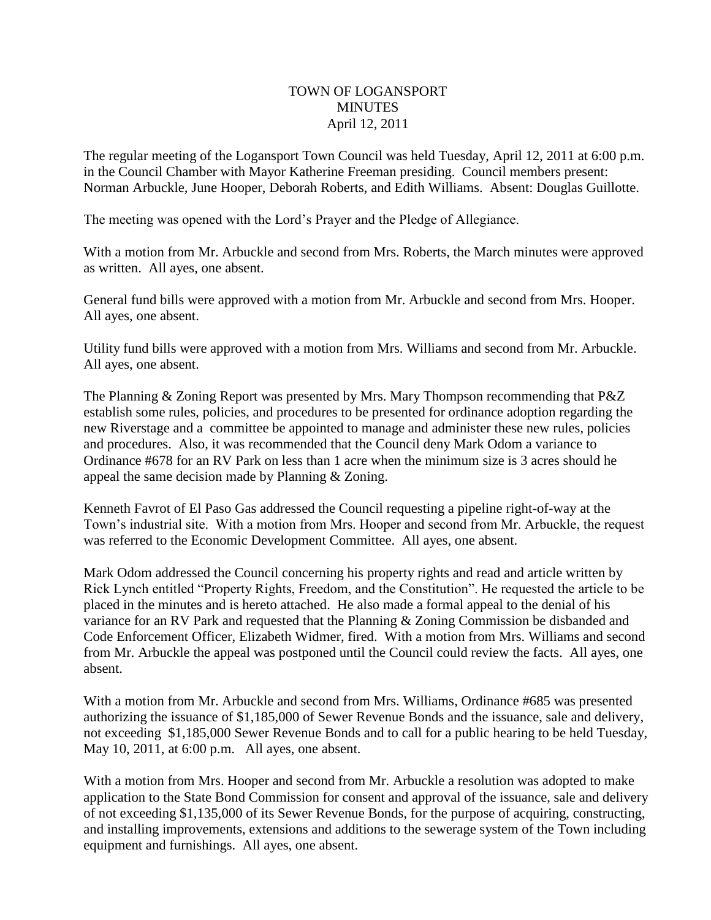## TOWN OF LOGANSPORT **MINUTES** April 12, 2011

The regular meeting of the Logansport Town Council was held Tuesday, April 12, 2011 at 6:00 p.m. in the Council Chamber with Mayor Katherine Freeman presiding. Council members present: Norman Arbuckle, June Hooper, Deborah Roberts, and Edith Williams. Absent: Douglas Guillotte.

The meeting was opened with the Lord's Prayer and the Pledge of Allegiance.

With a motion from Mr. Arbuckle and second from Mrs. Roberts, the March minutes were approved as written. All ayes, one absent.

General fund bills were approved with a motion from Mr. Arbuckle and second from Mrs. Hooper. All ayes, one absent.

Utility fund bills were approved with a motion from Mrs. Williams and second from Mr. Arbuckle. All ayes, one absent.

The Planning & Zoning Report was presented by Mrs. Mary Thompson recommending that P&Z establish some rules, policies, and procedures to be presented for ordinance adoption regarding the new Riverstage and a committee be appointed to manage and administer these new rules, policies and procedures. Also, it was recommended that the Council deny Mark Odom a variance to Ordinance #678 for an RV Park on less than 1 acre when the minimum size is 3 acres should he appeal the same decision made by Planning & Zoning.

Kenneth Favrot of El Paso Gas addressed the Council requesting a pipeline right-of-way at the Town's industrial site. With a motion from Mrs. Hooper and second from Mr. Arbuckle, the request was referred to the Economic Development Committee. All ayes, one absent.

Mark Odom addressed the Council concerning his property rights and read and article written by Rick Lynch entitled "Property Rights, Freedom, and the Constitution". He requested the article to be placed in the minutes and is hereto attached. He also made a formal appeal to the denial of his variance for an RV Park and requested that the Planning & Zoning Commission be disbanded and Code Enforcement Officer, Elizabeth Widmer, fired. With a motion from Mrs. Williams and second from Mr. Arbuckle the appeal was postponed until the Council could review the facts. All ayes, one absent.

With a motion from Mr. Arbuckle and second from Mrs. Williams, Ordinance #685 was presented authorizing the issuance of \$1,185,000 of Sewer Revenue Bonds and the issuance, sale and delivery, not exceeding \$1,185,000 Sewer Revenue Bonds and to call for a public hearing to be held Tuesday, May 10, 2011, at 6:00 p.m. All ayes, one absent.

With a motion from Mrs. Hooper and second from Mr. Arbuckle a resolution was adopted to make application to the State Bond Commission for consent and approval of the issuance, sale and delivery of not exceeding \$1,135,000 of its Sewer Revenue Bonds, for the purpose of acquiring, constructing, and installing improvements, extensions and additions to the sewerage system of the Town including equipment and furnishings. All ayes, one absent.